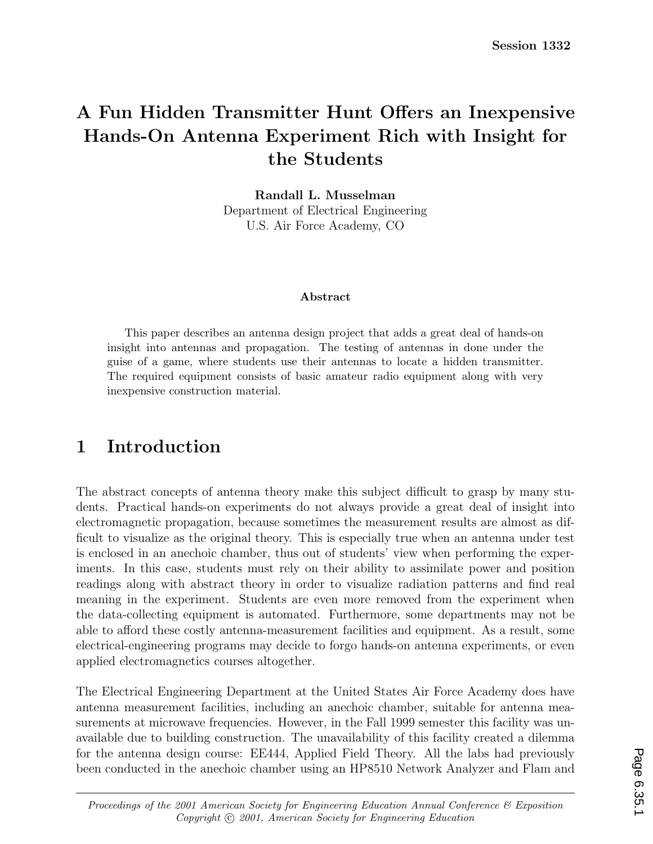# **A Fun Hidden Transmitter Hunt Offers an Inexpensive Hands-On Antenna Experiment Rich with Insight for the Students**

**Randall L. Musselman** Department of Electrical Engineering U.S. Air Force Academy, CO

#### **Abstract**

This paper describes an antenna design project that adds a great deal of hands-on insight into antennas and propagation. The testing of antennas in done under the guise of a game, where students use their antennas to locate a hidden transmitter. The required equipment consists of basic amateur radio equipment along with very inexpensive construction material.

#### **1 Introduction**

The abstract concepts of antenna theory make this subject difficult to grasp by many students. Practical hands-on experiments do not always provide a great deal of insight into electromagnetic propagation, because sometimes the measurement results are almost as difficult to visualize as the original theory. This is especially true when an antenna under test is enclosed in an anechoic chamber, thus out of students' view when performing the experiments. In this case, students must rely on their ability to assimilate power and position readings along with abstract theory in order to visualize radiation patterns and find real meaning in the experiment. Students are even more removed from the experiment when the data-collecting equipment is automated. Furthermore, some departments may not be able to afford these costly antenna-measurement facilities and equipment. As a result, some electrical-engineering programs may decide to forgo hands-on antenna experiments, or even applied electromagnetics courses altogether.

The Electrical Engineering Department at the United States Air Force Academy does have antenna measurement facilities, including an anechoic chamber, suitable for antenna measurements at microwave frequencies. However, in the Fall 1999 semester this facility was unavailable due to building construction. The unavailability of this facility created a dilemma for the antenna design course: EE444, Applied Field Theory. All the labs had previously been conducted in the anechoic chamber using an HP8510 Network Analyzer and Flam and

*Proceedings of the 2001 American Society for Engineering Education Annual Conference & Exposition Copyright*  $\odot$  2001, American Society for Engineering Education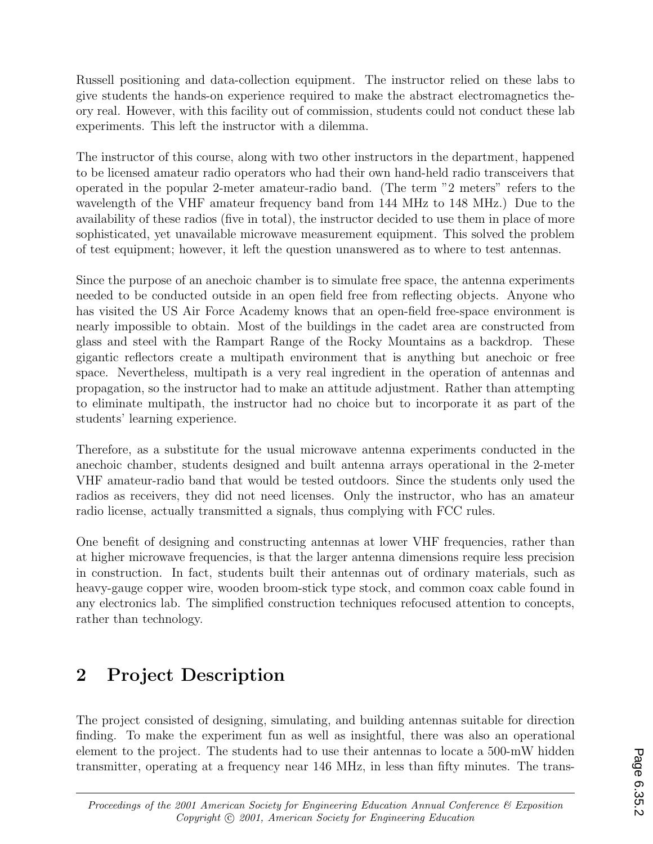Russell positioning and data-collection equipment. The instructor relied on these labs to give students the hands-on experience required to make the abstract electromagnetics theory real. However, with this facility out of commission, students could not conduct these lab experiments. This left the instructor with a dilemma.

The instructor of this course, along with two other instructors in the department, happened to be licensed amateur radio operators who had their own hand-held radio transceivers that operated in the popular 2-meter amateur-radio band. (The term "2 meters" refers to the wavelength of the VHF amateur frequency band from 144 MHz to 148 MHz.) Due to the availability of these radios (five in total), the instructor decided to use them in place of more sophisticated, yet unavailable microwave measurement equipment. This solved the problem of test equipment; however, it left the question unanswered as to where to test antennas.

Since the purpose of an anechoic chamber is to simulate free space, the antenna experiments needed to be conducted outside in an open field free from reflecting objects. Anyone who has visited the US Air Force Academy knows that an open-field free-space environment is nearly impossible to obtain. Most of the buildings in the cadet area are constructed from glass and steel with the Rampart Range of the Rocky Mountains as a backdrop. These gigantic reflectors create a multipath environment that is anything but anechoic or free space. Nevertheless, multipath is a very real ingredient in the operation of antennas and propagation, so the instructor had to make an attitude adjustment. Rather than attempting to eliminate multipath, the instructor had no choice but to incorporate it as part of the students' learning experience.

Therefore, as a substitute for the usual microwave antenna experiments conducted in the anechoic chamber, students designed and built antenna arrays operational in the 2-meter VHF amateur-radio band that would be tested outdoors. Since the students only used the radios as receivers, they did not need licenses. Only the instructor, who has an amateur radio license, actually transmitted a signals, thus complying with FCC rules.

One benefit of designing and constructing antennas at lower VHF frequencies, rather than at higher microwave frequencies, is that the larger antenna dimensions require less precision in construction. In fact, students built their antennas out of ordinary materials, such as heavy-gauge copper wire, wooden broom-stick type stock, and common coax cable found in any electronics lab. The simplified construction techniques refocused attention to concepts, rather than technology.

# **2 Project Description**

The project consisted of designing, simulating, and building antennas suitable for direction finding. To make the experiment fun as well as insightful, there was also an operational element to the project. The students had to use their antennas to locate a 500-mW hidden transmitter, operating at a frequency near 146 MHz, in less than fifty minutes. The trans-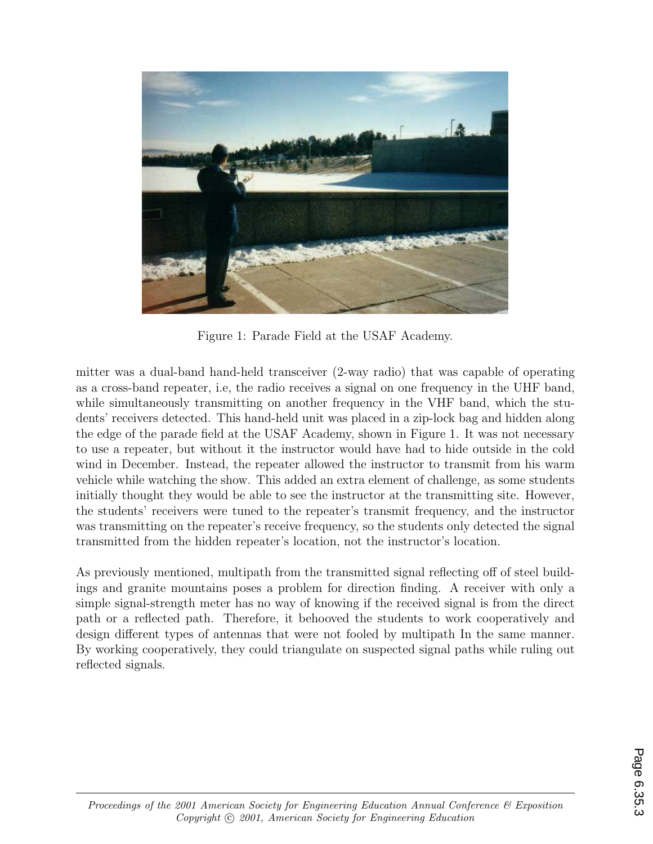

Figure 1: Parade Field at the USAF Academy.

mitter was a dual-band hand-held transceiver (2-way radio) that was capable of operating as a cross-band repeater, i.e, the radio receives a signal on one frequency in the UHF band, while simultaneously transmitting on another frequency in the VHF band, which the students' receivers detected. This hand-held unit was placed in a zip-lock bag and hidden along the edge of the parade field at the USAF Academy, shown in Figure 1. It was not necessary to use a repeater, but without it the instructor would have had to hide outside in the cold wind in December. Instead, the repeater allowed the instructor to transmit from his warm vehicle while watching the show. This added an extra element of challenge, as some students initially thought they would be able to see the instructor at the transmitting site. However, the students' receivers were tuned to the repeater's transmit frequency, and the instructor was transmitting on the repeater's receive frequency, so the students only detected the signal transmitted from the hidden repeater's location, not the instructor's location.

As previously mentioned, multipath from the transmitted signal reflecting off of steel buildings and granite mountains poses a problem for direction finding. A receiver with only a simple signal-strength meter has no way of knowing if the received signal is from the direct path or a reflected path. Therefore, it behooved the students to work cooperatively and design different types of antennas that were not fooled by multipath In the same manner. By working cooperatively, they could triangulate on suspected signal paths while ruling out reflected signals.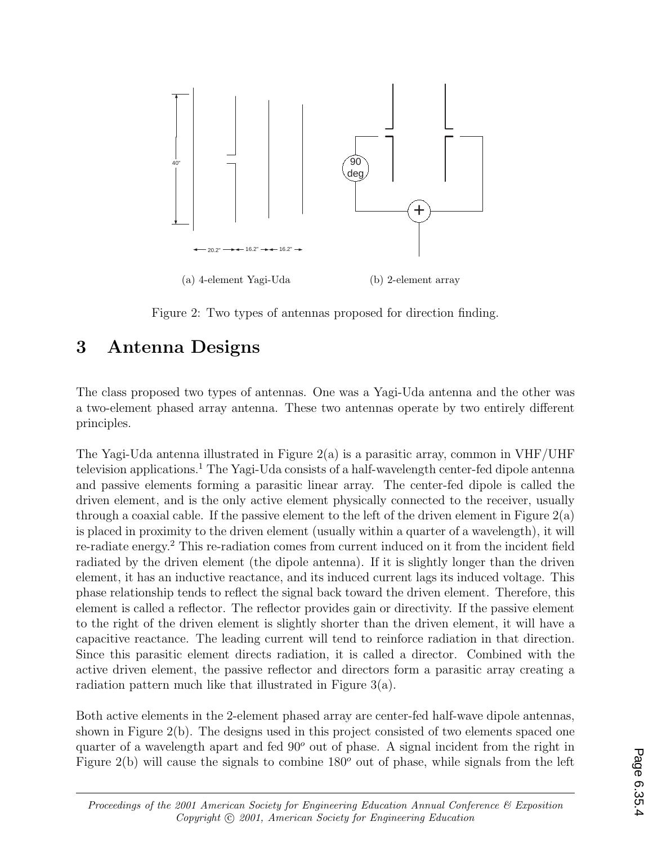

Figure 2: Two types of antennas proposed for direction finding.

#### **3 Antenna Designs**

The class proposed two types of antennas. One was a Yagi-Uda antenna and the other was a two-element phased array antenna. These two antennas operate by two entirely different principles.

The Yagi-Uda antenna illustrated in Figure 2(a) is a parasitic array, common in VHF/UHF television applications.<sup>1</sup> The Yagi-Uda consists of a half-wavelength center-fed dipole antenna and passive elements forming a parasitic linear array. The center-fed dipole is called the driven element, and is the only active element physically connected to the receiver, usually through a coaxial cable. If the passive element to the left of the driven element in Figure  $2(a)$ is placed in proximity to the driven element (usually within a quarter of a wavelength), it will re-radiate energy.<sup>2</sup> This re-radiation comes from current induced on it from the incident field radiated by the driven element (the dipole antenna). If it is slightly longer than the driven element, it has an inductive reactance, and its induced current lags its induced voltage. This phase relationship tends to reflect the signal back toward the driven element. Therefore, this element is called a reflector. The reflector provides gain or directivity. If the passive element to the right of the driven element is slightly shorter than the driven element, it will have a capacitive reactance. The leading current will tend to reinforce radiation in that direction. Since this parasitic element directs radiation, it is called a director. Combined with the active driven element, the passive reflector and directors form a parasitic array creating a radiation pattern much like that illustrated in Figure 3(a).

Both active elements in the 2-element phased array are center-fed half-wave dipole antennas, shown in Figure 2(b). The designs used in this project consisted of two elements spaced one quarter of a wavelength apart and fed 90*<sup>o</sup>* out of phase. A signal incident from the right in Figure 2(b) will cause the signals to combine 180<sup>o</sup> out of phase, while signals from the left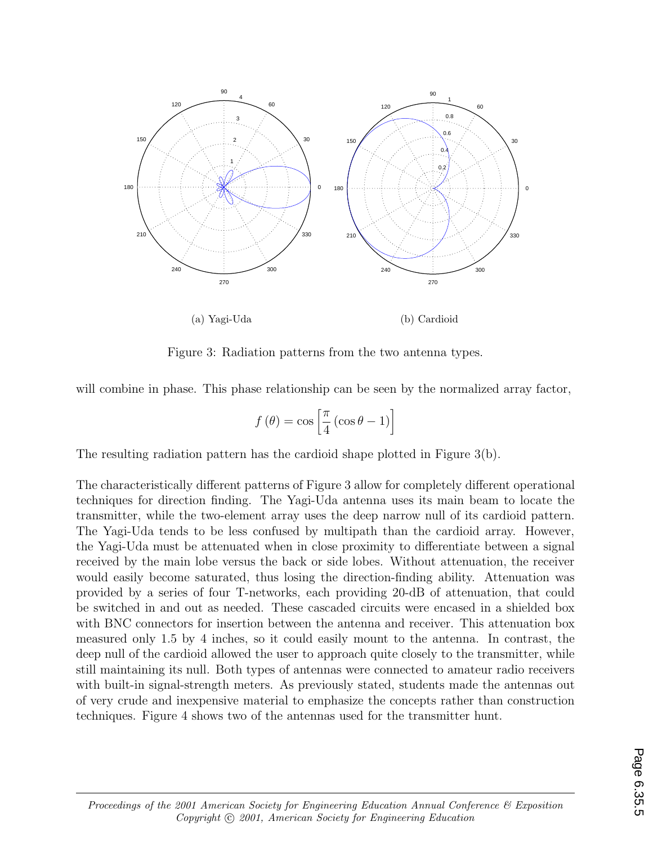

Figure 3: Radiation patterns from the two antenna types.

will combine in phase. This phase relationship can be seen by the normalized array factor,

$$
f(\theta) = \cos\left[\frac{\pi}{4}\left(\cos\theta - 1\right)\right]
$$

The resulting radiation pattern has the cardioid shape plotted in Figure 3(b).

The characteristically different patterns of Figure 3 allow for completely different operational techniques for direction finding. The Yagi-Uda antenna uses its main beam to locate the transmitter, while the two-element array uses the deep narrow null of its cardioid pattern. The Yagi-Uda tends to be less confused by multipath than the cardioid array. However, the Yagi-Uda must be attenuated when in close proximity to differentiate between a signal received by the main lobe versus the back or side lobes. Without attenuation, the receiver would easily become saturated, thus losing the direction-finding ability. Attenuation was provided by a series of four T-networks, each providing 20-dB of attenuation, that could be switched in and out as needed. These cascaded circuits were encased in a shielded box with BNC connectors for insertion between the antenna and receiver. This attenuation box measured only 1.5 by 4 inches, so it could easily mount to the antenna. In contrast, the deep null of the cardioid allowed the user to approach quite closely to the transmitter, while still maintaining its null. Both types of antennas were connected to amateur radio receivers with built-in signal-strength meters. As previously stated, students made the antennas out of very crude and inexpensive material to emphasize the concepts rather than construction techniques. Figure 4 shows two of the antennas used for the transmitter hunt.

*Proceedings of the 2001 American Society for Engineering Education Annual Conference & Exposition Copyright*  $\odot$  2001, American Society for Engineering Education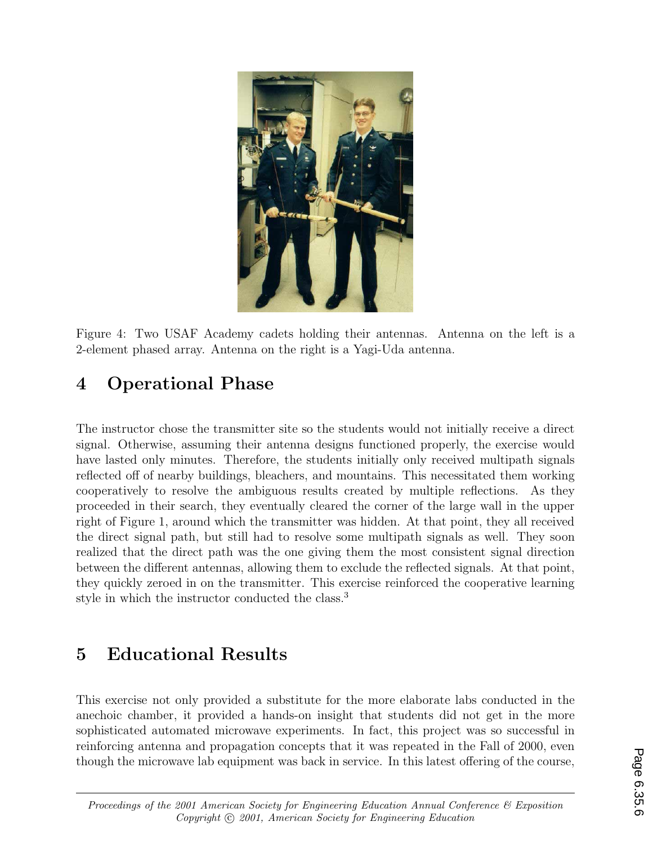

Figure 4: Two USAF Academy cadets holding their antennas. Antenna on the left is a 2-element phased array. Antenna on the right is a Yagi-Uda antenna.

# **4 Operational Phase**

The instructor chose the transmitter site so the students would not initially receive a direct signal. Otherwise, assuming their antenna designs functioned properly, the exercise would have lasted only minutes. Therefore, the students initially only received multipath signals reflected off of nearby buildings, bleachers, and mountains. This necessitated them working cooperatively to resolve the ambiguous results created by multiple reflections. As they proceeded in their search, they eventually cleared the corner of the large wall in the upper right of Figure 1, around which the transmitter was hidden. At that point, they all received the direct signal path, but still had to resolve some multipath signals as well. They soon realized that the direct path was the one giving them the most consistent signal direction between the different antennas, allowing them to exclude the reflected signals. At that point, they quickly zeroed in on the transmitter. This exercise reinforced the cooperative learning style in which the instructor conducted the class.<sup>3</sup>

## **5 Educational Results**

This exercise not only provided a substitute for the more elaborate labs conducted in the anechoic chamber, it provided a hands-on insight that students did not get in the more sophisticated automated microwave experiments. In fact, this project was so successful in reinforcing antenna and propagation concepts that it was repeated in the Fall of 2000, even though the microwave lab equipment was back in service. In this latest offering of the course,

*Proceedings of the 2001 American Society for Engineering Education Annual Conference & Exposition Copyright*  $\odot$  2001, American Society for Engineering Education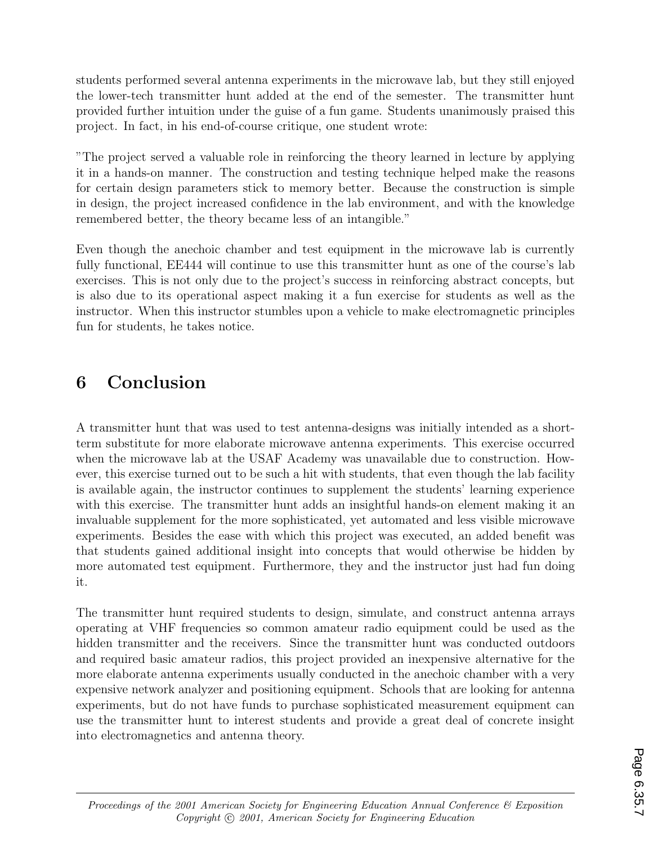students performed several antenna experiments in the microwave lab, but they still enjoyed the lower-tech transmitter hunt added at the end of the semester. The transmitter hunt provided further intuition under the guise of a fun game. Students unanimously praised this project. In fact, in his end-of-course critique, one student wrote:

"The project served a valuable role in reinforcing the theory learned in lecture by applying it in a hands-on manner. The construction and testing technique helped make the reasons for certain design parameters stick to memory better. Because the construction is simple in design, the project increased confidence in the lab environment, and with the knowledge remembered better, the theory became less of an intangible."

Even though the anechoic chamber and test equipment in the microwave lab is currently fully functional, EE444 will continue to use this transmitter hunt as one of the course's lab exercises. This is not only due to the project's success in reinforcing abstract concepts, but is also due to its operational aspect making it a fun exercise for students as well as the instructor. When this instructor stumbles upon a vehicle to make electromagnetic principles fun for students, he takes notice.

### **6 Conclusion**

A transmitter hunt that was used to test antenna-designs was initially intended as a shortterm substitute for more elaborate microwave antenna experiments. This exercise occurred when the microwave lab at the USAF Academy was unavailable due to construction. However, this exercise turned out to be such a hit with students, that even though the lab facility is available again, the instructor continues to supplement the students' learning experience with this exercise. The transmitter hunt adds an insightful hands-on element making it an invaluable supplement for the more sophisticated, yet automated and less visible microwave experiments. Besides the ease with which this project was executed, an added benefit was that students gained additional insight into concepts that would otherwise be hidden by more automated test equipment. Furthermore, they and the instructor just had fun doing it.

The transmitter hunt required students to design, simulate, and construct antenna arrays operating at VHF frequencies so common amateur radio equipment could be used as the hidden transmitter and the receivers. Since the transmitter hunt was conducted outdoors and required basic amateur radios, this project provided an inexpensive alternative for the more elaborate antenna experiments usually conducted in the anechoic chamber with a very expensive network analyzer and positioning equipment. Schools that are looking for antenna experiments, but do not have funds to purchase sophisticated measurement equipment can use the transmitter hunt to interest students and provide a great deal of concrete insight into electromagnetics and antenna theory.